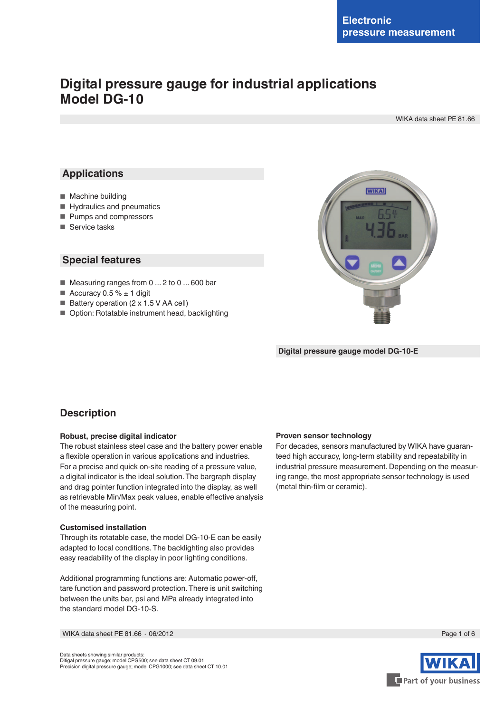# **Digital pressure gauge for industrial applications Model DG-10**

WIKA data sheet PE 81.66

### **Applications**

- Machine building
- Hydraulics and pneumatics
- Pumps and compressors
- Service tasks

### **Special features**

- Measuring ranges from 0 ... 2 to 0 ... 600 bar
- Accuracy  $0.5 \% \pm 1$  digit
- Battery operation (2 x 1.5 V AA cell)
- Option: Rotatable instrument head, backlighting



**Digital pressure gauge model DG-10-E**

### **Description**

#### **Robust, precise digital indicator**

The robust stainless steel case and the battery power enable a flexible operation in various applications and industries. For a precise and quick on-site reading of a pressure value, a digital indicator is the ideal solution. The bargraph display and drag pointer function integrated into the display, as well as retrievable Min/Max peak values, enable effective analysis of the measuring point.

#### **Customised installation**

Through its rotatable case, the model DG-10-E can be easily adapted to local conditions. The backlighting also provides easy readability of the display in poor lighting conditions.

Additional programming functions are: Automatic power-off, tare function and password protection. There is unit switching between the units bar, psi and MPa already integrated into the standard model DG-10-S.

WIKA data sheet PE 81.66 ⋅ 06/2012 Page 1 of 6

#### Data sheets showing similar products: Ditigal pressure gauge; model CPG500; see data sheet CT 09.01 Precision digital pressure gauge; model CPG1000; see data sheet CT 10.01

#### **Proven sensor technology**

For decades, sensors manufactured by WIKA have guaranteed high accuracy, long-term stability and repeatability in industrial pressure measurement. Depending on the measuring range, the most appropriate sensor technology is used (metal thin-film or ceramic).

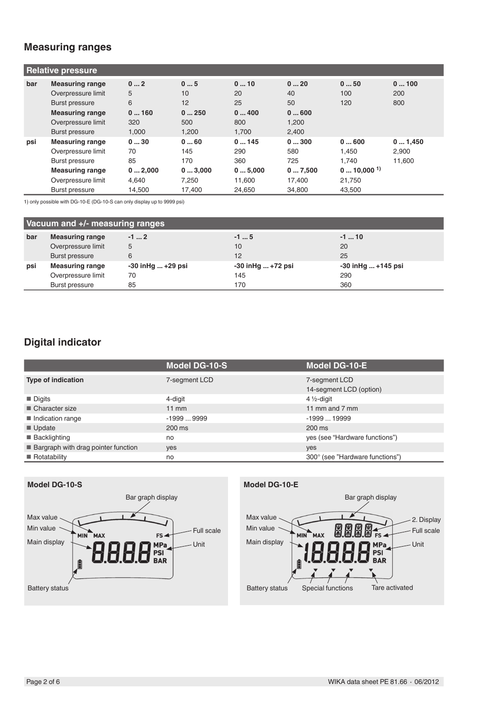# **Measuring ranges**

| <b>Relative pressure</b> |                        |        |        |        |        |                         |        |
|--------------------------|------------------------|--------|--------|--------|--------|-------------------------|--------|
| bar                      | <b>Measuring range</b> | 02     | 05     | 010    | 020    | 050                     | 0100   |
|                          | Overpressure limit     | 5      | 10     | 20     | 40     | 100                     | 200    |
|                          | Burst pressure         | 6      | 12     | 25     | 50     | 120                     | 800    |
|                          | <b>Measuring range</b> | 0160   | 0250   | 0400   | 0600   |                         |        |
|                          | Overpressure limit     | 320    | 500    | 800    | 1,200  |                         |        |
|                          | Burst pressure         | 1.000  | 1.200  | 1.700  | 2.400  |                         |        |
| psi                      | <b>Measuring range</b> | 030    | 060    | 0145   | 0300   | 0600                    | 01,450 |
|                          | Overpressure limit     | 70     | 145    | 290    | 580    | 1.450                   | 2,900  |
|                          | Burst pressure         | 85     | 170    | 360    | 725    | 1.740                   | 11,600 |
|                          | <b>Measuring range</b> | 02,000 | 03,000 | 05,000 | 07,500 | $010,000$ <sup>1)</sup> |        |
|                          | Overpressure limit     | 4.640  | 7.250  | 11.600 | 17.400 | 21,750                  |        |
|                          | Burst pressure         | 14,500 | 17.400 | 24,650 | 34,800 | 43,500                  |        |

1) only possible with DG-10-E (DG-10-S can only display up to 9999 psi)

| Vacuum and +/- measuring ranges |                        |                          |                   |                          |
|---------------------------------|------------------------|--------------------------|-------------------|--------------------------|
| bar                             | <b>Measuring range</b> | $-12$                    | $-15$             | $-1$ 10                  |
|                                 | Overpressure limit     | 5                        | 10                | 20                       |
|                                 | Burst pressure         | 6                        | 12                | 25                       |
| psi                             | <b>Measuring range</b> | $-30$ in Hg $$ $+29$ psi | -30 inHg  +72 psi | $-30$ in Hg $ + 145$ psi |
|                                 | Overpressure limit     | 70                       | 145               | 290                      |
|                                 | Burst pressure         | 85                       | 170               | 360                      |

# **Digital indicator**

|                                       | <b>Model DG-10-S</b> | <b>Model DG-10-E</b>                     |
|---------------------------------------|----------------------|------------------------------------------|
| <b>Type of indication</b>             | 7-segment LCD        | 7-segment LCD<br>14-segment LCD (option) |
| $\blacksquare$ Digits                 | 4-digit              | $4\frac{1}{2}$ -digit                    |
| $\blacksquare$ Character size         | $11 \text{ mm}$      | 11 mm and 7 mm                           |
| Indication range                      | $-19999999$          | $-199919999$                             |
| $\blacksquare$ Update                 | $200 \text{ ms}$     | $200 \text{ ms}$                         |
| ■ Backlighting                        | no                   | yes (see "Hardware functions")           |
| ■ Bargraph with drag pointer function | yes                  | yes                                      |
| $\blacksquare$ Rotatability           | no                   | 300° (see "Hardware functions")          |

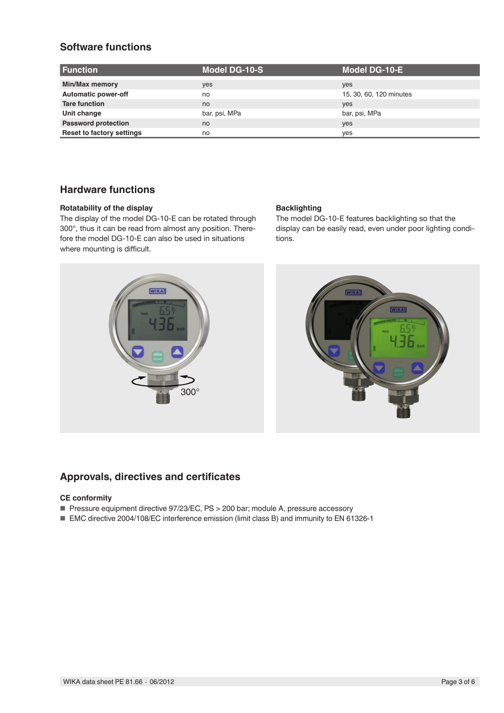# **Software functions**

| <b>Function</b>                  | <b>Model DG-10-S</b> | Model DG-10-E           |
|----------------------------------|----------------------|-------------------------|
| Min/Max memory                   | yes                  | yes                     |
| <b>Automatic power-off</b>       | no                   | 15, 30, 60, 120 minutes |
| <b>Tare function</b>             | no                   | yes                     |
| Unit change                      | bar, psi, MPa        | bar, psi, MPa           |
| <b>Password protection</b>       | no                   | yes                     |
| <b>Reset to factory settings</b> | no                   | ves                     |

# **Hardware functions**

### **Rotatability of the display**

The display of the model DG-10-E can be rotated through 300°, thus it can be read from almost any position. Therefore the model DG-10-E can also be used in situations where mounting is difficult.

### **Backlighting**

The model DG-10-E features backlighting so that the display can be easily read, even under poor lighting conditions.





### **Approvals, directives and certificates**

### **CE conformity**

- Pressure equipment directive 97/23/EC, PS > 200 bar; module A, pressure accessory
- EMC directive 2004/108/EC interference emission (limit class B) and immunity to EN 61326-1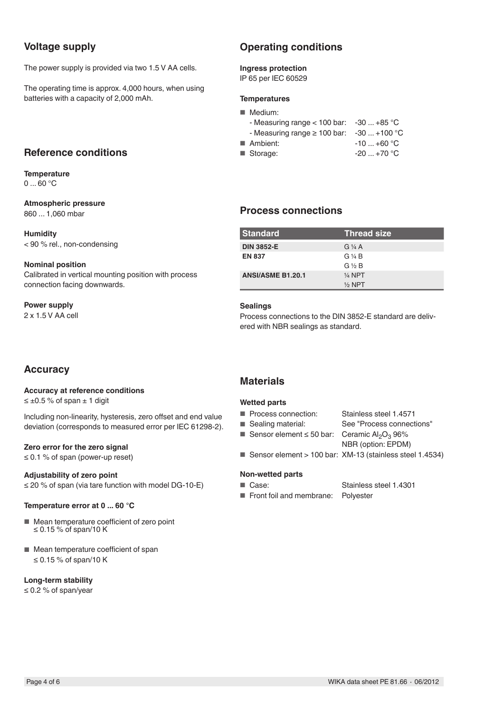# **Voltage supply**

The power supply is provided via two 1.5 V AA cells.

The operating time is approx. 4,000 hours, when using batteries with a capacity of 2,000 mAh.

### **Reference conditions**

**Temperature**  $0...60 °C$ 

### **Atmospheric pressure**

860 ... 1,060 mbar

**Humidity** < 90 % rel., non-condensing

### **Nominal position**

Calibrated in vertical mounting position with process connection facing downwards.

### **Power supply**

2 x 1.5 V AA cell

# **Accuracy**

### **Accuracy at reference conditions**

 $\leq \pm 0.5$  % of span  $\pm$  1 digit

Including non-linearity, hysteresis, zero offset and end value deviation (corresponds to measured error per IEC 61298-2).

### **Zero error for the zero signal**

≤ 0.1 % of span (power-up reset)

### **Adjustability of zero point**

≤ 20 % of span (via tare function with model DG-10-E)

### **Temperature error at 0 ... 60 °C**

- Mean temperature coefficient of zero point ≤ 0.15 % of span/10 K
- Mean temperature coefficient of span ≤ 0.15 % of span/10 K

### **Long-term stability**

≤ 0.2 % of span/year

# **Operating conditions**

### **Ingress protection**

IP 65 per IEC 60529

### **Temperatures**

| ■ Medium:                                      |             |
|------------------------------------------------|-------------|
| - Measuring range $<$ 100 bar: -30  +85 °C     |             |
| - Measuring range $\geq 100$ bar: -30  +100 °C |             |
| Ambient:                                       | $-10+60$ °C |
| ■ Storage:                                     | $-20+70$ °C |

### **Process connections**

| <b>Standard</b>          | <b>Thread size</b>    |
|--------------------------|-----------------------|
| <b>DIN 3852-E</b>        | $G\mathcal{V}_4$ A    |
| <b>EN 837</b>            | $G\mathrel{\vee} A B$ |
|                          | $G \nless B$          |
| <b>ANSI/ASME B1.20.1</b> | $1/4$ NPT             |
|                          | $\frac{1}{2}$ NPT     |

### **Sealings**

Process connections to the DIN 3852-E standard are delivered with NBR sealings as standard.

### **Materials**

### **Wetted parts**

- Process connection: Stainless steel 1.4571<br>■ Sealing material: See "Process connect
	- See "Process connections"
- Sensor element  $\leq$  50 bar: Ceramic Al<sub>2</sub>O<sub>3</sub> 96%
	- NBR (option: EPDM)
- Sensor element > 100 bar: XM-13 (stainless steel 1.4534)

### **Non-wetted parts**

■ Case: Stainless steel 1.4301

■ Front foil and membrane: Polyester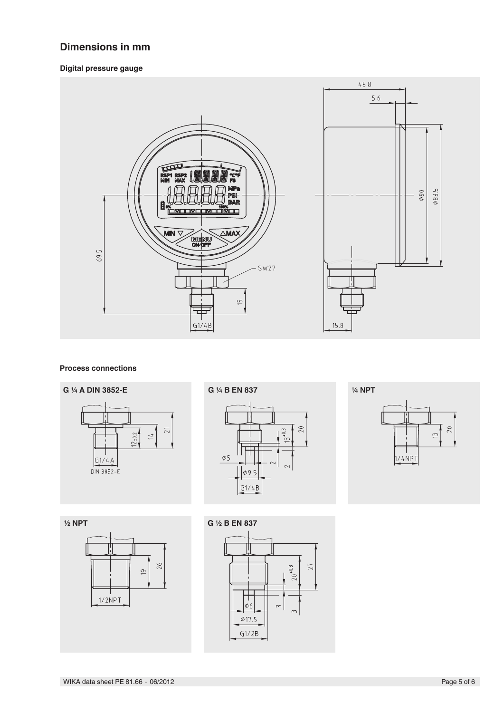# **Dimensions in mm**

### **Digital pressure gauge**



#### **Process connections**







**½ NPT** $26$  $\overline{C}$  $1/2$ NPT